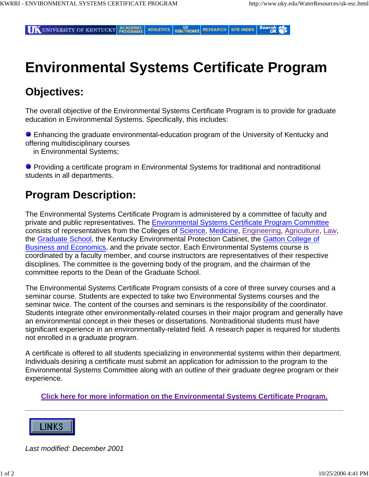Search of **IK UNIVERSITY OF KENTUCKY PROGRAMS ATHLETICS HEALTHCARE RESEARCH SITE INDEX** 

# **Environmental Systems Certificate Program**

# **Objectives:**

The overall objective of the Environmental Systems Certificate Program is to provide for graduate education in Environmental Systems. Specifically, this includes:

 Enhancing the graduate environmental-education program of the University of Kentucky and offering multidisciplinary courses

in Environmental Systems;

**Providing a certificate program in Environmental Systems for traditional and nontraditional** students in all departments.

### **Program Description:**

The Environmental Systems Certificate Program is administered by a committee of faculty and private and public representatives. The Environmental Systems Certificate Program Committee consists of representatives from the Colleges of Science, Medicine, Engineering, Agriculture, Law, the Graduate School, the Kentucky Environmental Protection Cabinet, the Gatton College of Business and Economics, and the private sector. Each Environmental Systems course is coordinated by a faculty member, and course instructors are representatives of their respective disciplines. The committee is the governing body of the program, and the chairman of the committee reports to the Dean of the Graduate School.

The Environmental Systems Certificate Program consists of a core of three survey courses and a seminar course. Students are expected to take two Environmental Systems courses and the seminar twice. The content of the courses and seminars is the responsibility of the coordinator. Students integrate other environmentally-related courses in their major program and generally have an environmental concept in their theses or dissertations. Nontraditional students must have significant experience in an environmentally-related field. A research paper is required for students not enrolled in a graduate program.

A certificate is offered to all students specializing in environmental systems within their department. Individuals desiring a certificate must submit an application for admission to the program to the Environmental Systems Committee along with an outline of their graduate degree program or their experience.

**Click here for more information on the Environmental Systems Certificate Program.**



*Last modified: December 2001*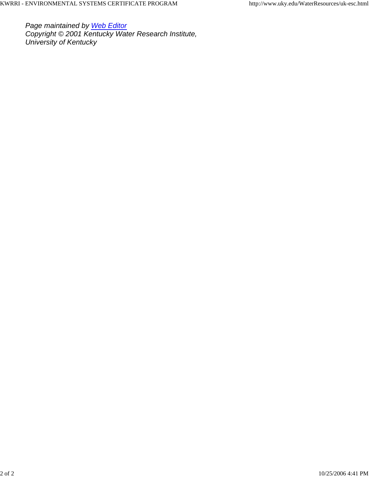*Page maintained by Web Editor Copyright © 2001 Kentucky Water Research Institute, University of Kentucky*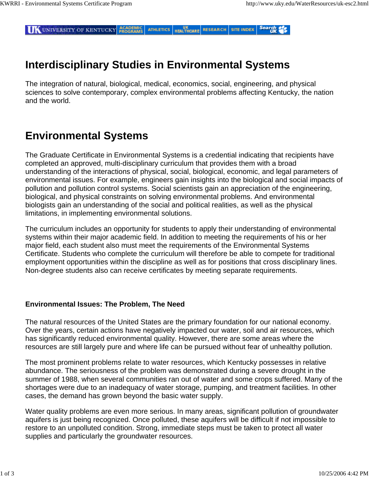Search of **IK UNIVERSITY OF KENTUCKY PROGRAMS ATHLETICS** UK<br>HEALTHCARE **RESEARCH SITE INDEX** 

# **Interdisciplinary Studies in Environmental Systems**

The integration of natural, biological, medical, economics, social, engineering, and physical sciences to solve contemporary, complex environmental problems affecting Kentucky, the nation and the world.

# **Environmental Systems**

The Graduate Certificate in Environmental Systems is a credential indicating that recipients have completed an approved, multi-disciplinary curriculum that provides them with a broad understanding of the interactions of physical, social, biological, economic, and legal parameters of environmental issues. For example, engineers gain insights into the biological and social impacts of pollution and pollution control systems. Social scientists gain an appreciation of the engineering, biological, and physical constraints on solving environmental problems. And environmental biologists gain an understanding of the social and political realities, as well as the physical limitations, in implementing environmental solutions.

The curriculum includes an opportunity for students to apply their understanding of environmental systems within their major academic field. In addition to meeting the requirements of his or her major field, each student also must meet the requirements of the Environmental Systems Certificate. Students who complete the curriculum will therefore be able to compete for traditional employment opportunities within the discipline as well as for positions that cross disciplinary lines. Non-degree students also can receive certificates by meeting separate requirements.

#### **Environmental Issues: The Problem, The Need**

The natural resources of the United States are the primary foundation for our national economy. Over the years, certain actions have negatively impacted our water, soil and air resources, which has significantly reduced environmental quality. However, there are some areas where the resources are still largely pure and where life can be pursued without fear of unhealthy pollution.

The most prominent problems relate to water resources, which Kentucky possesses in relative abundance. The seriousness of the problem was demonstrated during a severe drought in the summer of 1988, when several communities ran out of water and some crops suffered. Many of the shortages were due to an inadequacy of water storage, pumping, and treatment facilities. In other cases, the demand has grown beyond the basic water supply.

Water quality problems are even more serious. In many areas, significant pollution of groundwater aquifers is just being recognized. Once polluted, these aquifers will be difficult if not impossible to restore to an unpolluted condition. Strong, immediate steps must be taken to protect all water supplies and particularly the groundwater resources.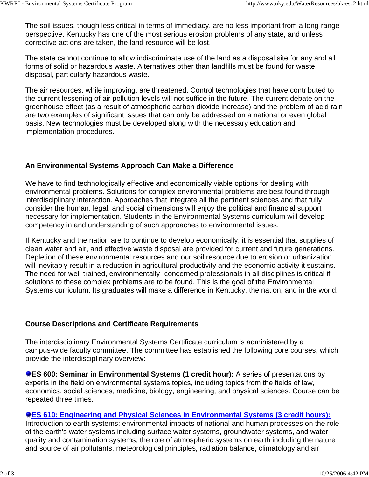The soil issues, though less critical in terms of immediacy, are no less important from a long-range perspective. Kentucky has one of the most serious erosion problems of any state, and unless corrective actions are taken, the land resource will be lost.

The state cannot continue to allow indiscriminate use of the land as a disposal site for any and all forms of solid or hazardous waste. Alternatives other than landfills must be found for waste disposal, particularly hazardous waste.

The air resources, while improving, are threatened. Control technologies that have contributed to the current lessening of air pollution levels will not suffice in the future. The current debate on the greenhouse effect (as a result of atmospheric carbon dioxide increase) and the problem of acid rain are two examples of significant issues that can only be addressed on a national or even global basis. New technologies must be developed along with the necessary education and implementation procedures.

### **An Environmental Systems Approach Can Make a Difference**

We have to find technologically effective and economically viable options for dealing with environmental problems. Solutions for complex environmental problems are best found through interdisciplinary interaction. Approaches that integrate all the pertinent sciences and that fully consider the human, legal, and social dimensions will enjoy the political and financial support necessary for implementation. Students in the Environmental Systems curriculum will develop competency in and understanding of such approaches to environmental issues.

If Kentucky and the nation are to continue to develop economically, it is essential that supplies of clean water and air, and effective waste disposal are provided for current and future generations. Depletion of these environmental resources and our soil resource due to erosion or urbanization will inevitably result in a reduction in agricultural productivity and the economic activity it sustains. The need for well-trained, environmentally- concerned professionals in all disciplines is critical if solutions to these complex problems are to be found. This is the goal of the Environmental Systems curriculum. Its graduates will make a difference in Kentucky, the nation, and in the world.

### **Course Descriptions and Certificate Requirements**

The interdisciplinary Environmental Systems Certificate curriculum is administered by a campus-wide faculty committee. The committee has established the following core courses, which provide the interdisciplinary overview:

**RES 600: Seminar in Environmental Systems (1 credit hour):** A series of presentations by experts in the field on environmental systems topics, including topics from the fields of law, economics, social sciences, medicine, biology, engineering, and physical sciences. Course can be repeated three times.

### **ES 610: Engineering and Physical Sciences in Environmental Systems (3 credit hours):**

Introduction to earth systems; environmental impacts of national and human processes on the role of the earth's water systems including surface water systems, groundwater systems, and water quality and contamination systems; the role of atmospheric systems on earth including the nature and source of air pollutants, meteorological principles, radiation balance, climatology and air